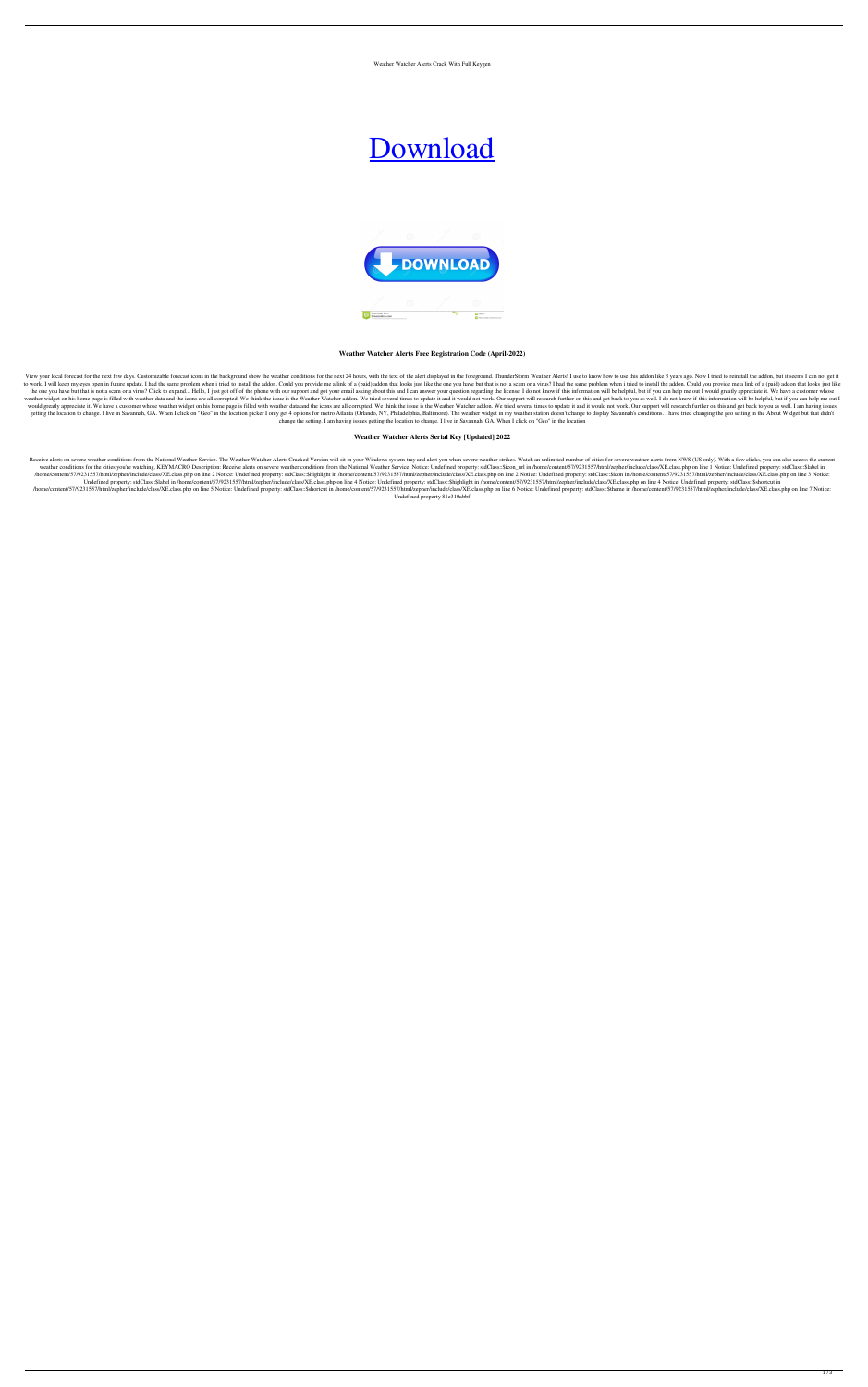Weather Watcher Alerts Crack With Full Keygen

# [Download](http://evacdir.com/cleaner/V2VhdGhlciBXYXRjaGVyIEFsZXJ0cwV2V=ZG93bmxvYWR8VHY1TTNkMWFIeDhNVFkxTkRRek5qWTFPSHg4TWpVNU1IeDhLRTBwSUZkdmNtUndjbVZ6Y3lCYldFMU1VbEJESUZZeUlGQkVSbDA&vaccine=dysexecutive&fournier=gurnsey.parried)



**Weather Watcher Alerts Free Registration Code (April-2022)**

View your local forecast for the next few days. Customizable forecast icons in the background show the weather conditions for the next 24 hours, with the text of the alert displayed in the foreground. ThunderStorm Weather to work. I will keep my eyes open in future update. I had the same problem when i tried to install the addon. Could you provide me a link of a (paid) addon that looks just like the one you have but that is not a scam or a the one you have but that is not a scam or a virus? Click to expand... Hello, I just got off of the phone with our support and got your email asking about this and I can answer your question regarding the license. I do not weather widget on his home page is filled with weather data and the icons are all corrupted. We think the issue is the Weather Watcher addon. We tried several times to update it and it would not work. Our support will rese would greatly appreciate it. We have a customer whose weather widget on his home page is filled with weather data and the icons are all corrupted. We think the issue is the Weather Watcher addon. We tried several times to getting the location to change. I live in Savannah, GA. When I click on "Geo" in the location picker I only get 4 options for metro Atlanta (Orlando, NY, Philadelphia, Baltimore). The weather widget in my weather station d change the setting. I am having issues getting the location to change. I live in Savannah, GA. When I click on "Geo" in the location

Receive alerts on severe weather conditions from the National Weather Service. The Weather Watcher Alerts Cracked Version will sit in your Windows system tray and alert you when severe weather strikes. Watch an unlimited n weather conditions for the cities you're watching. KEYMACRO Description: Receive alerts on severe weather conditions from the National Weather Service. Notice: Undefined property: stdClass::\$icon\_url in /home/content/57/92 /home/content/57/9231557/html/zepher/include/class/XE.class.php on line 2 Notice: Undefined property: stdClass::\$highlight in /home/content/57/9231557/html/zepher/include/class/XE.class.php on line 2 Notice: Undefined prop Undefined property: stdClass::\$label in /home/content/57/9231557/html/zepher/include/class/XE.class.php on line 4 Notice: Undefined property: stdClass::\$highlight in /home/content/57/9231557/html/zepher/include/class/XE.cl /home/content/57/9231557/html/zepher/include/class/XE.class.php on line 5 Notice: Undefined property: stdClass::\$shortcut in /home/content/57/9231557/html/zepher/include/class/XE.class.php on line 6 Notice: Undefined prope Undefined property 81e310abbf

## **Weather Watcher Alerts Serial Key [Updated] 2022**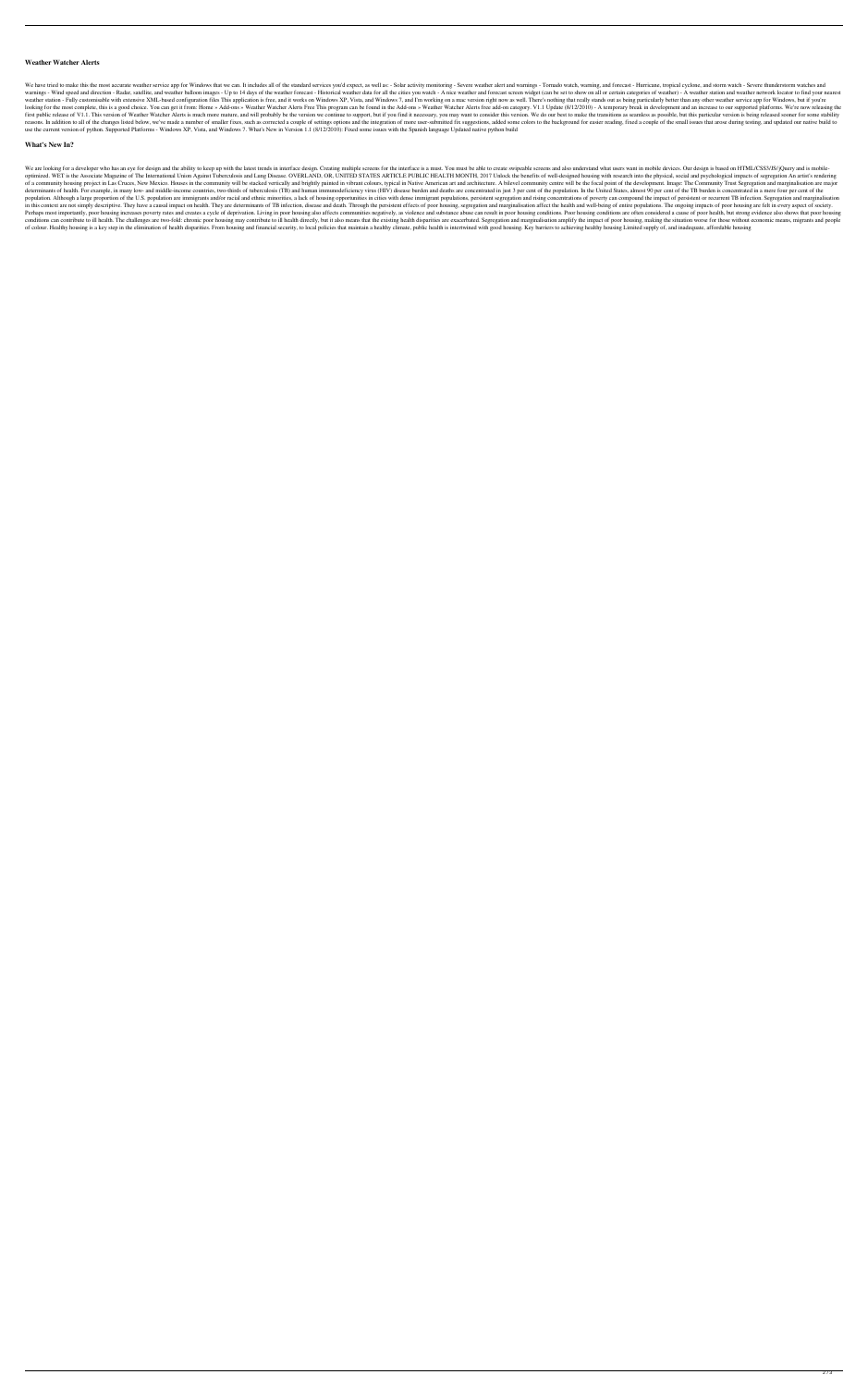#### **Weather Watcher Alerts**

We have tried to make this the most accurate weather service app for Windows that we can. It includes all of the standard services you'd expect, as well as: - Solar activity monitoring - Severe weather alert and warnings warnings - Wind speed and direction - Radar, satellite, and weather balloon images - Up to 14 days of the weather forecast - Historical weather data for all the cities you watch - A nice weather and forecast screen widget weather station - Fully customisable with extensive XML-based configuration files This application is free, and it works on Windows XP, Vista, and Windows 7, and I'm working on a mac version right now as well. There's noth looking for the most complete, this is a good choice. You can get it from: Home » Add-ons » Weather Watcher Alerts Free This program can be found in the Add-ons » Weather Watcher Alerts free add-on category. V1.1 Update (8 first public release of V1.1. This version of Weather Watcher Alerts is much more mature, and will probably be the version we continue to support, but if you find it necessary, you may want to consider this version. We do reasons. In addition to all of the changes listed below, we've made a number of smaller fixes, such as corrected a couple of settings options and the integration of more user-submitted fix suggestions, added some colors to use the current version of python. Supported Platforms - Windows XP, Vista, and Windows 7. What's New in Version 1.1 (8/12/2010): Fixed some issues with the Spanish language Updated native python build

#### **What's New In?**

We are looking for a developer who has an eye for design and the ability to keep up with the latest trends in interface design. Creating multiple screens for the interface is a must. You must be able to create swipeable sc optimized. WET is the Associate Magazine of The International Union Against Tuberculosis and Lung Disease. OVERLAND, OR, UNITED STATES ARTICLE PUBLIC HEALTH MONTH, 2017 Unlock the benefits of well-designed housing with res of a community housing project in Las Cruces, New Mexico. Houses in the community will be stacked vertically and brightly painted in vibrant colours, typical in Native American art and architecture. A bilevel community cen determinants of health. For example, in many low- and middle-income countries, two-thirds of tuberculosis (TB) and human immunodeficiency virus (HIV) disease burden and deaths are concentrated in just 3 per cent of the pop population. Although a large proportion of the U.S. population are immigrants and/or racial and ethnic minorities, a lack of housing opportunities in cities with dense immigrant populations, persistent segregation and risi in this context are not simply descriptive. They have a causal impact on health. They are determinants of TB infection, disease and death. Through the persistent effects of poor housing, segregation and marginalisation aff Perhaps most importantly, poor housing increases poverty rates and creates a cycle of deprivation. Living in poor housing also affects communities negatively, as violence and substance abuse can result in poor housing cond conditions can contribute to ill health. The challenges are two-fold: chronic poor housing may contribute to ill health directly, but it also means that the existing health disparities are exacerbated. Segregation and marg of colour. Healthy housing is a key step in the elimination of health disparities. From housing and financial security, to local policies that maintain a healthy climate, public health is intertwined with good housing. Key